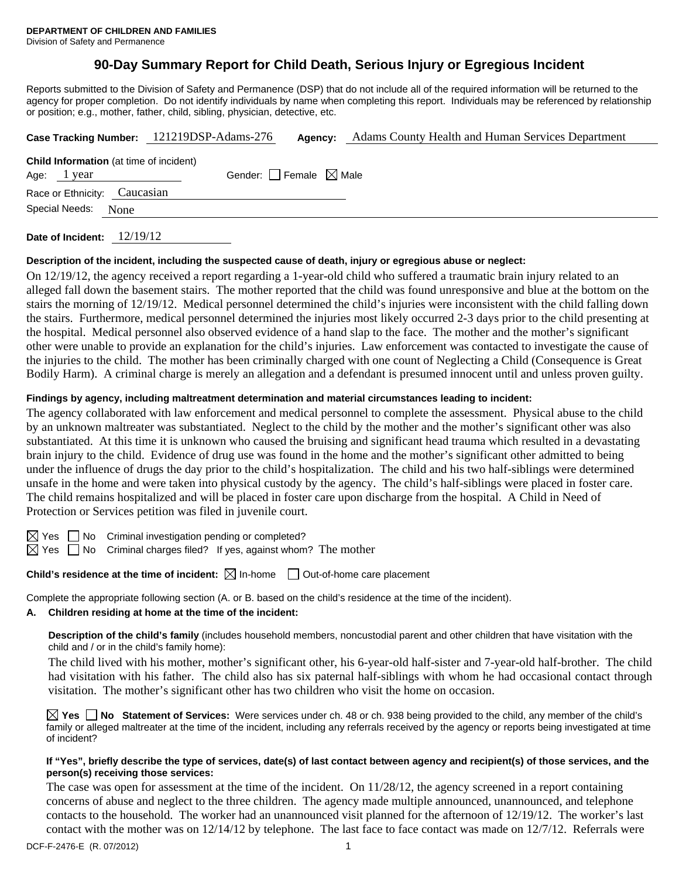# **90-Day Summary Report for Child Death, Serious Injury or Egregious Incident**

Reports submitted to the Division of Safety and Permanence (DSP) that do not include all of the required information will be returned to the agency for proper completion. Do not identify individuals by name when completing this report. Individuals may be referenced by relationship or position; e.g., mother, father, child, sibling, physician, detective, etc.

|                                                |  | Case Tracking Number: 121219DSP-Adams-276 |  | <b>Agency:</b> Adams County Health and Human Services Department |
|------------------------------------------------|--|-------------------------------------------|--|------------------------------------------------------------------|
| <b>Child Information</b> (at time of incident) |  |                                           |  |                                                                  |
| Gender: Female $\boxtimes$ Male<br>Age: 1 year |  |                                           |  |                                                                  |
| Race or Ethnicity: Caucasian                   |  |                                           |  |                                                                  |
| Special Needs: None                            |  |                                           |  |                                                                  |
|                                                |  |                                           |  |                                                                  |

**Date of Incident:** 12/19/12

## **Description of the incident, including the suspected cause of death, injury or egregious abuse or neglect:**

On 12/19/12, the agency received a report regarding a 1-year-old child who suffered a traumatic brain injury related to an alleged fall down the basement stairs. The mother reported that the child was found unresponsive and blue at the bottom on the stairs the morning of 12/19/12. Medical personnel determined the child's injuries were inconsistent with the child falling down the stairs. Furthermore, medical personnel determined the injuries most likely occurred 2-3 days prior to the child presenting at the hospital. Medical personnel also observed evidence of a hand slap to the face. The mother and the mother's significant other were unable to provide an explanation for the child's injuries. Law enforcement was contacted to investigate the cause of the injuries to the child. The mother has been criminally charged with one count of Neglecting a Child (Consequence is Great Bodily Harm). A criminal charge is merely an allegation and a defendant is presumed innocent until and unless proven guilty.

## **Findings by agency, including maltreatment determination and material circumstances leading to incident:**

The agency collaborated with law enforcement and medical personnel to complete the assessment. Physical abuse to the child by an unknown maltreater was substantiated. Neglect to the child by the mother and the mother's significant other was also substantiated. At this time it is unknown who caused the bruising and significant head trauma which resulted in a devastating brain injury to the child. Evidence of drug use was found in the home and the mother's significant other admitted to being under the influence of drugs the day prior to the child's hospitalization. The child and his two half-siblings were determined unsafe in the home and were taken into physical custody by the agency. The child's half-siblings were placed in foster care. The child remains hospitalized and will be placed in foster care upon discharge from the hospital. A Child in Need of Protection or Services petition was filed in juvenile court.

 $\boxtimes$  Yes  $\Box$  No Criminal investigation pending or completed?

 $\boxtimes$  Yes  $\Box$  No Criminal charges filed? If yes, against whom? The mother

# **Child's residence at the time of incident:**  $\boxtimes$  In-home  $\Box$  Out-of-home care placement

Complete the appropriate following section (A. or B. based on the child's residence at the time of the incident).

# **A. Children residing at home at the time of the incident:**

**Description of the child's family** (includes household members, noncustodial parent and other children that have visitation with the child and / or in the child's family home):

The child lived with his mother, mother's significant other, his 6-year-old half-sister and 7-year-old half-brother. The child had visitation with his father. The child also has six paternal half-siblings with whom he had occasional contact through visitation. The mother's significant other has two children who visit the home on occasion.

**Yes No Statement of Services:** Were services under ch. 48 or ch. 938 being provided to the child, any member of the child's family or alleged maltreater at the time of the incident, including any referrals received by the agency or reports being investigated at time of incident?

## **If "Yes", briefly describe the type of services, date(s) of last contact between agency and recipient(s) of those services, and the person(s) receiving those services:**

The case was open for assessment at the time of the incident. On  $11/28/12$ , the agency screened in a report containing concerns of abuse and neglect to the three children. The agency made multiple announced, unannounced, and telephone contacts to the household. The worker had an unannounced visit planned for the afternoon of 12/19/12. The worker's last contact with the mother was on 12/14/12 by telephone. The last face to face contact was made on 12/7/12. Referrals were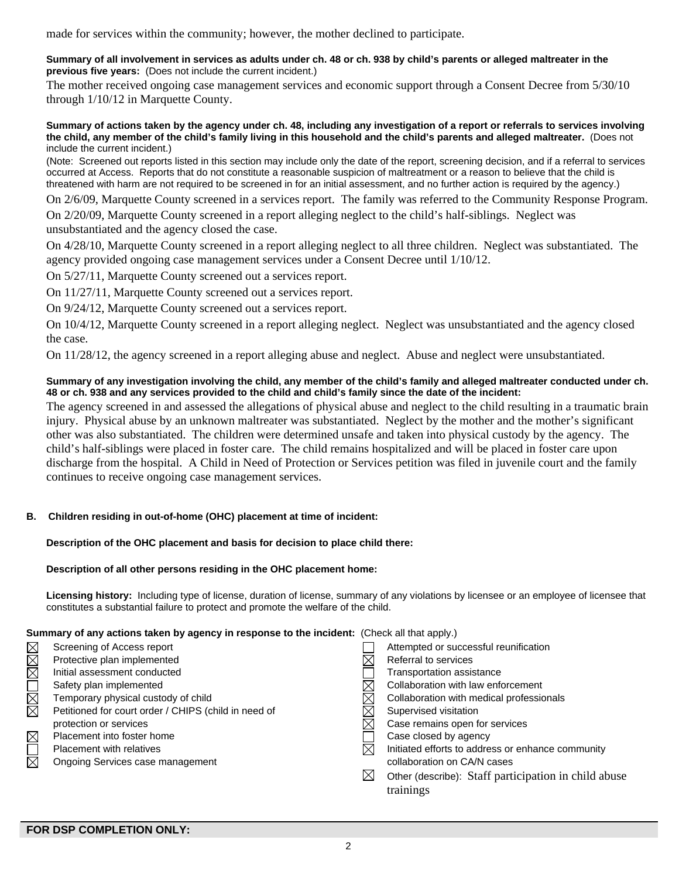made for services within the community; however, the mother declined to participate.

### **Summary of all involvement in services as adults under ch. 48 or ch. 938 by child's parents or alleged maltreater in the previous five years:** (Does not include the current incident.)

The mother received ongoing case management services and economic support through a Consent Decree from 5/30/10 through 1/10/12 in Marquette County.

#### **Summary of actions taken by the agency under ch. 48, including any investigation of a report or referrals to services involving the child, any member of the child's family living in this household and the child's parents and alleged maltreater.** (Does not include the current incident.)

(Note: Screened out reports listed in this section may include only the date of the report, screening decision, and if a referral to services occurred at Access. Reports that do not constitute a reasonable suspicion of maltreatment or a reason to believe that the child is threatened with harm are not required to be screened in for an initial assessment, and no further action is required by the agency.)

On 2/6/09, Marquette County screened in a services report. The family was referred to the Community Response Program.

On 2/20/09, Marquette County screened in a report alleging neglect to the child's half-siblings. Neglect was unsubstantiated and the agency closed the case.

On 4/28/10, Marquette County screened in a report alleging neglect to all three children. Neglect was substantiated. The agency provided ongoing case management services under a Consent Decree until 1/10/12.

On 5/27/11, Marquette County screened out a services report.

On 11/27/11, Marquette County screened out a services report.

On 9/24/12, Marquette County screened out a services report.

On 10/4/12, Marquette County screened in a report alleging neglect. Neglect was unsubstantiated and the agency closed the case.

On 11/28/12, the agency screened in a report alleging abuse and neglect. Abuse and neglect were unsubstantiated.

## **Summary of any investigation involving the child, any member of the child's family and alleged maltreater conducted under ch. 48 or ch. 938 and any services provided to the child and child's family since the date of the incident:**

The agency screened in and assessed the allegations of physical abuse and neglect to the child resulting in a traumatic brain injury. Physical abuse by an unknown maltreater was substantiated. Neglect by the mother and the mother's significant other was also substantiated. The children were determined unsafe and taken into physical custody by the agency. The child's half-siblings were placed in foster care. The child remains hospitalized and will be placed in foster care upon discharge from the hospital. A Child in Need of Protection or Services petition was filed in juvenile court and the family continues to receive ongoing case management services.

## **B. Children residing in out-of-home (OHC) placement at time of incident:**

## **Description of the OHC placement and basis for decision to place child there:**

## **Description of all other persons residing in the OHC placement home:**

**Licensing history:** Including type of license, duration of license, summary of any violations by licensee or an employee of licensee that constitutes a substantial failure to protect and promote the welfare of the child.

## **Summary of any actions taken by agency in response to the incident:** (Check all that apply.)

|             | Screening of Access report                           |             | Attempted or successful reunification                |
|-------------|------------------------------------------------------|-------------|------------------------------------------------------|
| XIXIX       | Protective plan implemented                          |             | Referral to services                                 |
|             | Initial assessment conducted                         |             | Transportation assistance                            |
|             | Safety plan implemented                              |             | Collaboration with law enforcement                   |
| NNI<br>Si   | Temporary physical custody of child                  |             | Collaboration with medical professionals             |
|             | Petitioned for court order / CHIPS (child in need of |             | Supervised visitation                                |
|             | protection or services                               |             | Case remains open for services                       |
| $\boxtimes$ | Placement into foster home                           |             | Case closed by agency                                |
|             | <b>Placement with relatives</b>                      | $\bowtie$   | Initiated efforts to address or enhance community    |
| 习           | Ongoing Services case management                     |             | collaboration on CA/N cases                          |
|             |                                                      | $\boxtimes$ | Other (describe): Staff participation in child abuse |
|             |                                                      |             | trainings                                            |
|             |                                                      |             |                                                      |